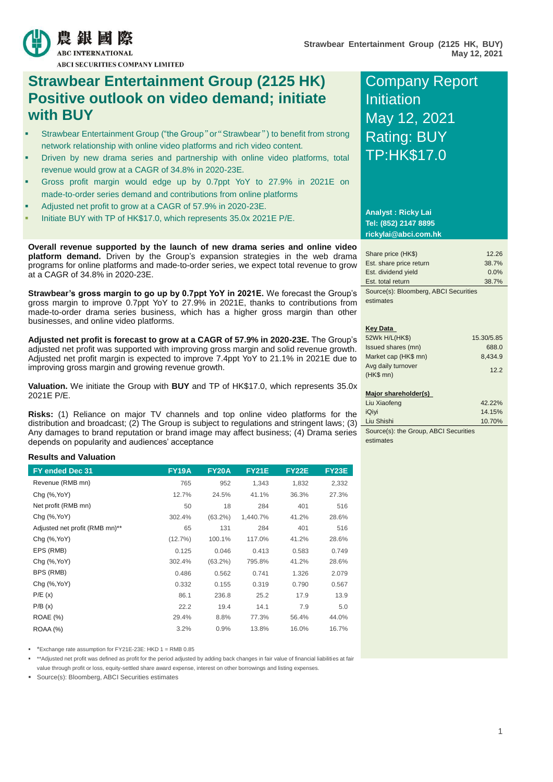

農 銀 國 際

**ABCI SECURITIES COMPANY LIMITED** 

# **Strawbear Entertainment Group (2125 HK) Positive outlook on video demand; initiate with BUY**

- Strawbear Entertainment Group ("the Group"or"Strawbear") to benefit from strong network relationship with online video platforms and rich video content.
- Driven by new drama series and partnership with online video platforms, total revenue would grow at a CAGR of 34.8% in 2020-23E.
- Gross profit margin would edge up by 0.7ppt YoY to 27.9% in 2021E on made-to-order series demand and contributions from online platforms
- Adjusted net profit to grow at a CAGR of 57.9% in 2020-23E.
- Initiate BUY with TP of HK\$17.0, which represents 35.0x 2021E P/E.

**Overall revenue supported by the launch of new drama series and online video platform demand.** Driven by the Group's expansion strategies in the web drama programs for online platforms and made-to-order series, we expect total revenue to grow at a CAGR of 34.8% in 2020-23E.

**Strawbear's gross margin to go up by 0.7ppt YoY in 2021E.** We forecast the Group's gross margin to improve 0.7ppt YoY to 27.9% in 2021E, thanks to contributions from made-to-order drama series business, which has a higher gross margin than other businesses, and online video platforms.

**Adjusted net profit is forecast to grow at a CAGR of 57.9% in 2020-23E.** The Group's adjusted net profit was supported with improving gross margin and solid revenue growth. Adjusted net profit margin is expected to improve 7.4ppt YoY to 21.1% in 2021E due to improving gross margin and growing revenue growth.

**Valuation.** We initiate the Group with **BUY** and TP of HK\$17.0, which represents 35.0x 2021E P/E.

**Risks:** (1) Reliance on major TV channels and top online video platforms for the distribution and broadcast; (2) The Group is subject to regulations and stringent laws; (3) Any damages to brand reputation or brand image may affect business; (4) Drama series depends on popularity and audiences' acceptance

### **Results and Valuation**

| FY ended Dec 31                | <b>FY19A</b> | <b>FY20A</b> | <b>FY21E</b> | <b>FY22E</b> | <b>FY23E</b> |
|--------------------------------|--------------|--------------|--------------|--------------|--------------|
| Revenue (RMB mn)               | 765          | 952          | 1,343        | 1,832        | 2,332        |
| Chg (%, Yo Y)                  | 12.7%        | 24.5%        | 41.1%        | 36.3%        | 27.3%        |
| Net profit (RMB mn)            | 50           | 18           | 284          | 401          | 516          |
| Chg (%, Yo Y)                  | 302.4%       | $(63.2\%)$   | 1,440.7%     | 41.2%        | 28.6%        |
| Adjusted net profit (RMB mn)** | 65           | 131          | 284          | 401          | 516          |
| $Chg$ $(\%$ , YoY)             | $(12.7\%)$   | 100.1%       | 117.0%       | 41.2%        | 28.6%        |
| EPS (RMB)                      | 0.125        | 0.046        | 0.413        | 0.583        | 0.749        |
| Chq (%, YoY)                   | 302.4%       | $(63.2\%)$   | 795.8%       | 41.2%        | 28.6%        |
| BPS (RMB)                      | 0.486        | 0.562        | 0.741        | 1.326        | 2.079        |
| Chg (%, Yo Y)                  | 0.332        | 0.155        | 0.319        | 0.790        | 0.567        |
| P/E(x)                         | 86.1         | 236.8        | 25.2         | 17.9         | 13.9         |
| P/B(x)                         | 22.2         | 19.4         | 14.1         | 7.9          | 5.0          |
| <b>ROAE</b> (%)                | 29.4%        | 8.8%         | 77.3%        | 56.4%        | 44.0%        |
| <b>ROAA</b> (%)                | 3.2%         | 0.9%         | 13.8%        | 16.0%        | 16.7%        |

\*Exchange rate assumption for FY21E-23E: HKD 1 = RMB 0.85

 \*\*Adjusted net profit was defined as profit for the period adjusted by adding back changes in fair value of financial liabilities at fair value through profit or loss, equity-settled share award expense, interest on other borrowings and listing expenses.

Source(s): Bloomberg, ABCI Securities estimates

# Company Report Initiation May 12, 2021 Rating: BUY TP:HK\$17.0

#### **Analyst : Ricky Lai Tel: (852) 2147 8895 rickylai@abci.com.hk**

| Share price (HK\$)                    | 12.26 |
|---------------------------------------|-------|
| Est. share price return               | 38.7% |
| Est. dividend yield                   | 0.0%  |
| Est. total return                     | 38.7% |
| Source(s): Bloomberg, ABCI Securities |       |

estimates

### **Key Data**

| 52Wk H/L(HK\$)       | 15.30/5.85 |
|----------------------|------------|
| Issued shares (mn)   | 688.0      |
| Market cap (HK\$ mn) | 8,434.9    |
| Avg daily turnover   | 12.2       |
| $(HKS$ mn $)$        |            |
| Major shareholder(s) |            |

| Liu Xiaofeng | 42.22% |
|--------------|--------|
| iQivi        | 14.15% |
| Liu Shishi   | 10.70% |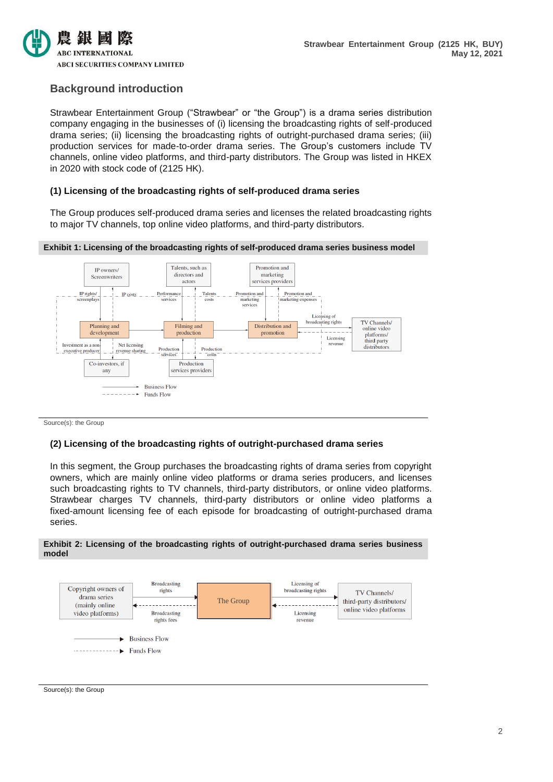

# **Background introduction**

Strawbear Entertainment Group ("Strawbear" or "the Group") is a drama series distribution company engaging in the businesses of (i) licensing the broadcasting rights of self-produced drama series; (ii) licensing the broadcasting rights of outright-purchased drama series; (iii) production services for made-to-order drama series. The Group's customers include TV channels, online video platforms, and third-party distributors. The Group was listed in HKEX in 2020 with stock code of (2125 HK).

# **(1) Licensing of the broadcasting rights of self-produced drama series**

The Group produces self-produced drama series and licenses the related broadcasting rights to major TV channels, top online video platforms, and third-party distributors.





Source(s): the Group

### **(2) Licensing of the broadcasting rights of outright-purchased drama series**

In this segment, the Group purchases the broadcasting rights of drama series from copyright owners, which are mainly online video platforms or drama series producers, and licenses such broadcasting rights to TV channels, third-party distributors, or online video platforms. Strawbear charges TV channels, third-party distributors or online video platforms a fixed-amount licensing fee of each episode for broadcasting of outright-purchased drama series.





Source(s): the Group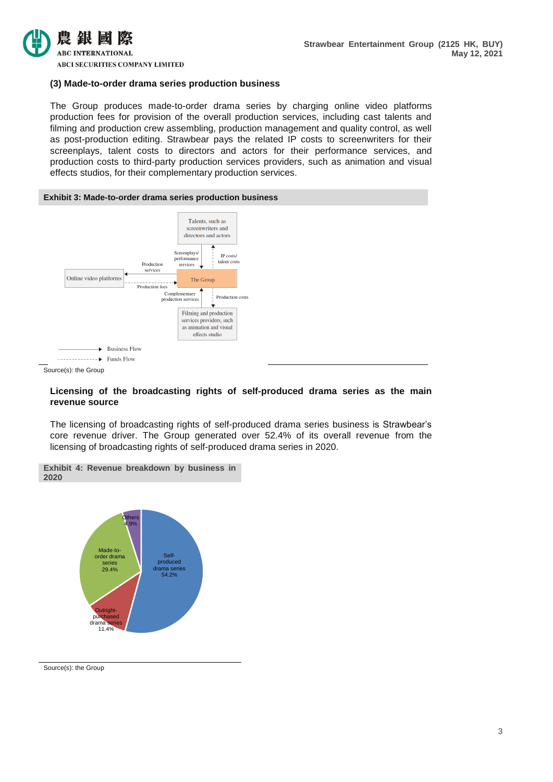

**ABCI SECURITIES COMPANY LIMITED** 

#### **(3) Made-to-order drama series production business**

The Group produces made-to-order drama series by charging online video platforms production fees for provision of the overall production services, including cast talents and filming and production crew assembling, production management and quality control, as well as post-production editing. Strawbear pays the related IP costs to screenwriters for their screenplays, talent costs to directors and actors for their performance services, and production costs to third-party production services providers, such as animation and visual effects studios, for their complementary production services.



Source(s): the Group

### **Licensing of the broadcasting rights of self-produced drama series as the main revenue source**

The licensing of broadcasting rights of self-produced drama series business is Strawbear's core revenue driver. The Group generated over 52.4% of its overall revenue from the licensing of broadcasting rights of self-produced drama series in 2020.





Source(s): the Group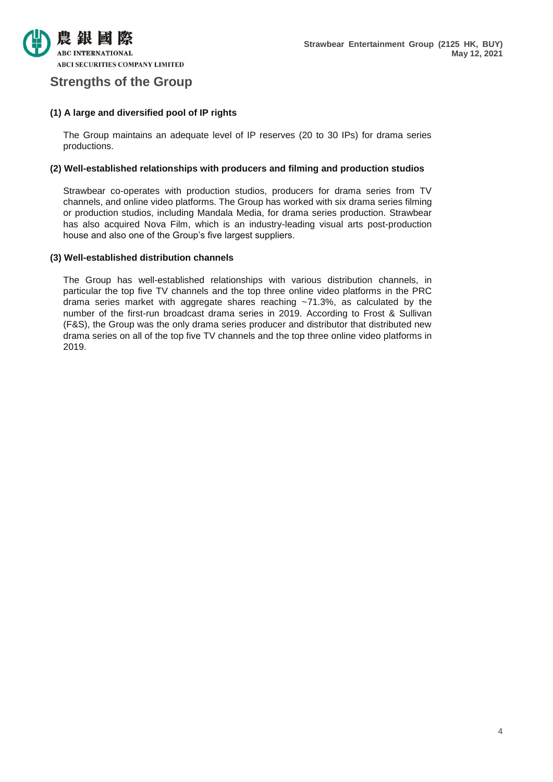

# **Strengths of the Group**

# **(1) A large and diversified pool of IP rights**

The Group maintains an adequate level of IP reserves (20 to 30 IPs) for drama series productions.

# **(2) Well-established relationships with producers and filming and production studios**

Strawbear co-operates with production studios, producers for drama series from TV channels, and online video platforms. The Group has worked with six drama series filming or production studios, including Mandala Media, for drama series production. Strawbear has also acquired Nova Film, which is an industry-leading visual arts post-production house and also one of the Group's five largest suppliers.

# **(3) Well-established distribution channels**

The Group has well-established relationships with various distribution channels, in particular the top five TV channels and the top three online video platforms in the PRC drama series market with aggregate shares reaching ~71.3%, as calculated by the number of the first-run broadcast drama series in 2019. According to Frost & Sullivan (F&S), the Group was the only drama series producer and distributor that distributed new drama series on all of the top five TV channels and the top three online video platforms in 2019.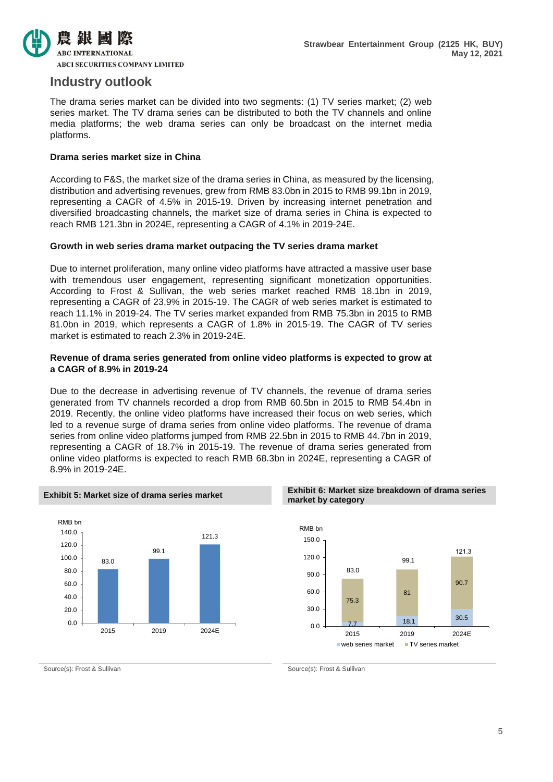

# **Industry outlook**

The drama series market can be divided into two segments: (1) TV series market; (2) web series market. The TV drama series can be distributed to both the TV channels and online media platforms; the web drama series can only be broadcast on the internet media platforms.

# **Drama series market size in China**

According to F&S, the market size of the drama series in China, as measured by the licensing, distribution and advertising revenues, grew from RMB 83.0bn in 2015 to RMB 99.1bn in 2019, representing a CAGR of 4.5% in 2015-19. Driven by increasing internet penetration and diversified broadcasting channels, the market size of drama series in China is expected to reach RMB 121.3bn in 2024E, representing a CAGR of 4.1% in 2019-24E.

### **Growth in web series drama market outpacing the TV series drama market**

Due to internet proliferation, many online video platforms have attracted a massive user base with tremendous user engagement, representing significant monetization opportunities. According to Frost & Sullivan, the web series market reached RMB 18.1bn in 2019, representing a CAGR of 23.9% in 2015-19. The CAGR of web series market is estimated to reach 11.1% in 2019-24. The TV series market expanded from RMB 75.3bn in 2015 to RMB 81.0bn in 2019, which represents a CAGR of 1.8% in 2015-19. The CAGR of TV series market is estimated to reach 2.3% in 2019-24E.

# **Revenue of drama series generated from online video platforms is expected to grow at a CAGR of 8.9% in 2019-24**

Due to the decrease in advertising revenue of TV channels, the revenue of drama series generated from TV channels recorded a drop from RMB 60.5bn in 2015 to RMB 54.4bn in 2019. Recently, the online video platforms have increased their focus on web series, which led to a revenue surge of drama series from online video platforms. The revenue of drama series from online video platforms jumped from RMB 22.5bn in 2015 to RMB 44.7bn in 2019, representing a CAGR of 18.7% in 2015-19. The revenue of drama series generated from online video platforms is expected to reach RMB 68.3bn in 2024E, representing a CAGR of 8.9% in 2019-24E.



#### **Exhibit 5: Market size of drama series market Exhibit 6: Market size breakdown of drama series market by category**



Source(s): Frost & Sullivan Source(s): Frost & Sullivan Source(s): Frost & Sullivan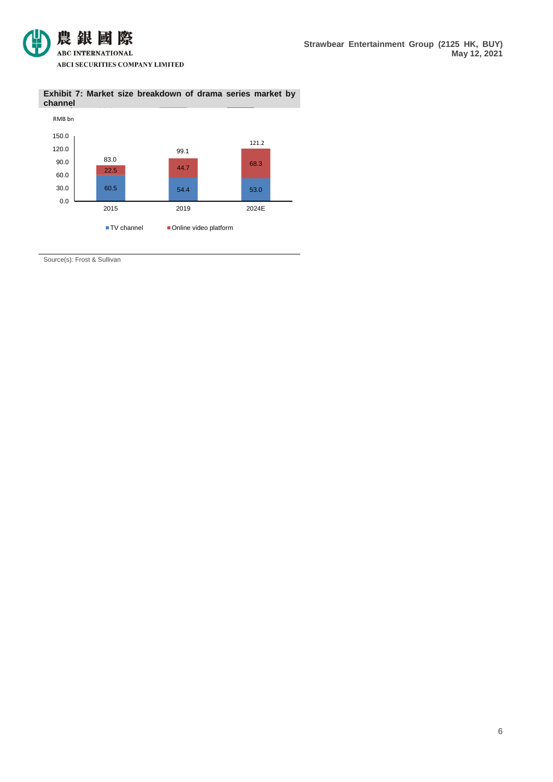

#### **Exhibit 7: Market size breakdown of drama series market by**  Exhil



Source(s): Frost & Sullivan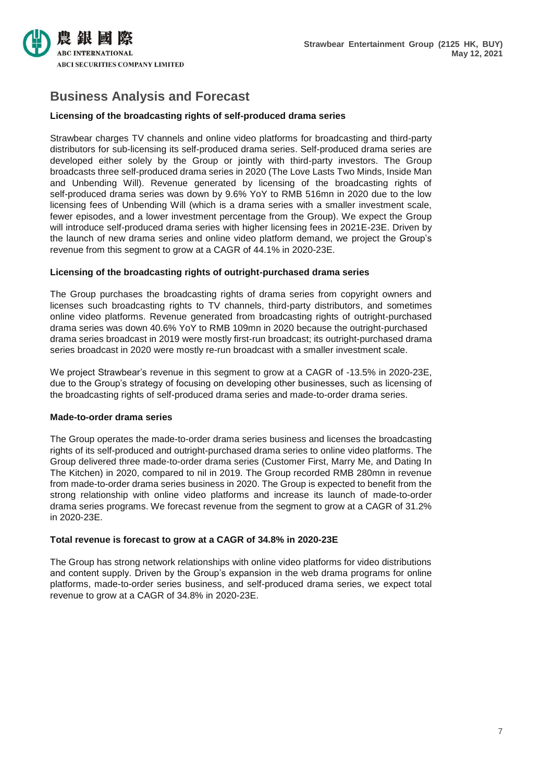

# **Business Analysis and Forecast**

# **Licensing of the broadcasting rights of self-produced drama series**

Strawbear charges TV channels and online video platforms for broadcasting and third-party distributors for sub-licensing its self-produced drama series. Self-produced drama series are developed either solely by the Group or jointly with third-party investors. The Group broadcasts three self-produced drama series in 2020 (The Love Lasts Two Minds, Inside Man and Unbending Will). Revenue generated by licensing of the broadcasting rights of self-produced drama series was down by 9.6% YoY to RMB 516mn in 2020 due to the low licensing fees of Unbending Will (which is a drama series with a smaller investment scale, fewer episodes, and a lower investment percentage from the Group). We expect the Group will introduce self-produced drama series with higher licensing fees in 2021E-23E. Driven by the launch of new drama series and online video platform demand, we project the Group's revenue from this segment to grow at a CAGR of 44.1% in 2020-23E.

# **Licensing of the broadcasting rights of outright-purchased drama series**

The Group purchases the broadcasting rights of drama series from copyright owners and licenses such broadcasting rights to TV channels, third-party distributors, and sometimes online video platforms. Revenue generated from broadcasting rights of outright-purchased drama series was down 40.6% YoY to RMB 109mn in 2020 because the outright-purchased drama series broadcast in 2019 were mostly first-run broadcast; its outright-purchased drama series broadcast in 2020 were mostly re-run broadcast with a smaller investment scale.

We project Strawbear's revenue in this segment to grow at a CAGR of -13.5% in 2020-23E. due to the Group's strategy of focusing on developing other businesses, such as licensing of the broadcasting rights of self-produced drama series and made-to-order drama series.

### **Made-to-order drama series**

The Group operates the made-to-order drama series business and licenses the broadcasting rights of its self-produced and outright-purchased drama series to online video platforms. The Group delivered three made-to-order drama series (Customer First, Marry Me, and Dating In The Kitchen) in 2020, compared to nil in 2019. The Group recorded RMB 280mn in revenue from made-to-order drama series business in 2020. The Group is expected to benefit from the strong relationship with online video platforms and increase its launch of made-to-order drama series programs. We forecast revenue from the segment to grow at a CAGR of 31.2% in 2020-23E.

# **Total revenue is forecast to grow at a CAGR of 34.8% in 2020-23E**

The Group has strong network relationships with online video platforms for video distributions and content supply. Driven by the Group's expansion in the web drama programs for online platforms, made-to-order series business, and self-produced drama series, we expect total revenue to grow at a CAGR of 34.8% in 2020-23E.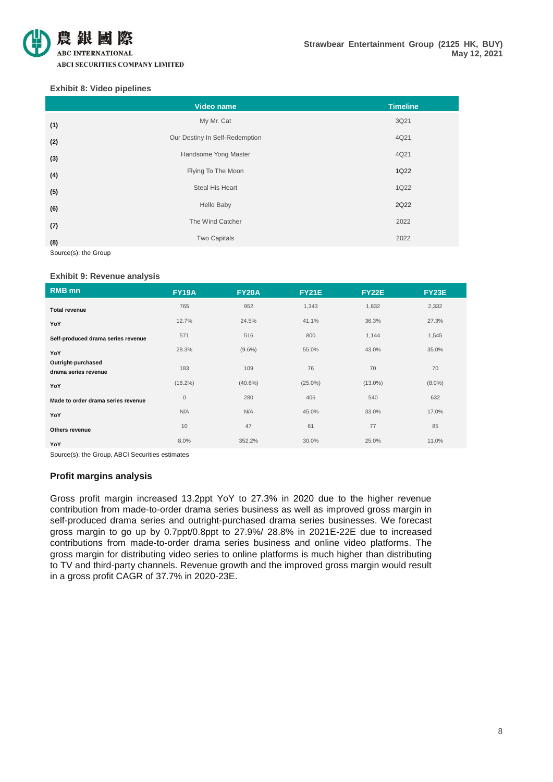

#### **Exhibit 8: Video pipelines**

|     | Video name                     | <b>Timeline</b> |
|-----|--------------------------------|-----------------|
| (1) | My Mr. Cat                     | 3Q21            |
| (2) | Our Destiny In Self-Redemption | 4Q21            |
| (3) | Handsome Yong Master           | 4Q21            |
| (4) | Flying To The Moon             | 1Q22            |
| (5) | Steal His Heart                | 1Q22            |
| (6) | Hello Baby                     | 2Q22            |
| (7) | The Wind Catcher               | 2022            |
| (8) | <b>Two Capitals</b>            | 2022            |

Source(s): the Group

#### **Exhibit 9: Revenue analysis**

| <b>RMB</b> mn                              | <b>FY19A</b> | <b>FY20A</b> | <b>FY21E</b> | <b>FY22E</b> | <b>FY23E</b> |
|--------------------------------------------|--------------|--------------|--------------|--------------|--------------|
| <b>Total revenue</b>                       | 765          | 952          | 1,343        | 1,832        | 2,332        |
| YoY                                        | 12.7%        | 24.5%        | 41.1%        | 36.3%        | 27.3%        |
| Self-produced drama series revenue         | 571          | 516          | 800          | 1,144        | 1,545        |
| YoY                                        | 28.3%        | $(9.6\%)$    | 55.0%        | 43.0%        | 35.0%        |
| Outright-purchased<br>drama series revenue | 183          | 109          | 76           | 70           | 70           |
| YoY                                        | $(18.2\%)$   | $(40.6\%)$   | $(25.0\%)$   | $(13.0\%)$   | $(8.0\%)$    |
| Made to order drama series revenue         | $\mathbf 0$  | 280          | 406          | 540          | 632          |
| YoY                                        | N/A          | N/A          | 45.0%        | 33.0%        | 17.0%        |
| Others revenue                             | 10           | 47           | 61           | 77           | 85           |
| YoY                                        | 8.0%         | 352.2%       | 30.0%        | 25.0%        | 11.0%        |

Source(s): the Group, ABCI Securities estimates

# **Profit margins analysis**

Gross profit margin increased 13.2ppt YoY to 27.3% in 2020 due to the higher revenue contribution from made-to-order drama series business as well as improved gross margin in self-produced drama series and outright-purchased drama series businesses. We forecast gross margin to go up by 0.7ppt/0.8ppt to 27.9%/ 28.8% in 2021E-22E due to increased contributions from made-to-order drama series business and online video platforms. The gross margin for distributing video series to online platforms is much higher than distributing to TV and third-party channels. Revenue growth and the improved gross margin would result in a gross profit CAGR of 37.7% in 2020-23E.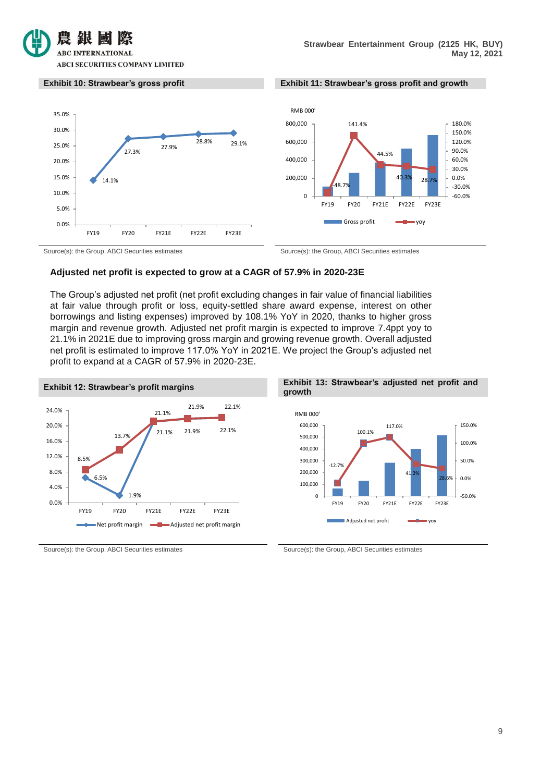





Source(s): the Group, ABCI Securities estimates Source(s): the Group, ABCI Securities estimates

### **Adjusted net profit is expected to grow at a CAGR of 57.9% in 2020-23E**

The Group's adjusted net profit (net profit excluding changes in fair value of financial liabilities at fair value through profit or loss, equity-settled share award expense, interest on other borrowings and listing expenses) improved by 108.1% YoY in 2020, thanks to higher gross margin and revenue growth. Adjusted net profit margin is expected to improve 7.4ppt yoy to 21.1% in 2021E due to improving gross margin and growing revenue growth. Overall adjusted net profit is estimated to improve 117.0% YoY in 2021E. We project the Group's adjusted net profit to expand at a CAGR of 57.9% in 2020-23E.



Source(s): the Group, ABCI Securities estimates Source(s): the Group, ABCI Securities estimates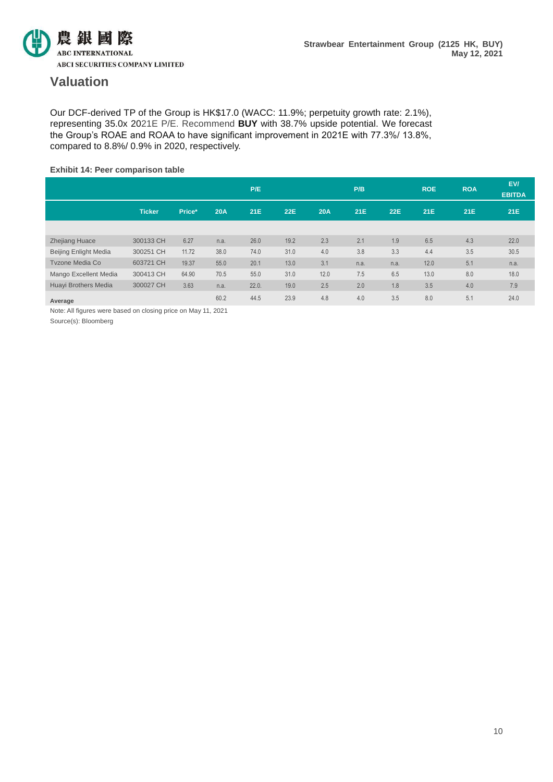

# **Valuation**

Our DCF-derived TP of the Group is HK\$17.0 (WACC: 11.9%; perpetuity growth rate: 2.1%), representing 35.0x 2021E P/E. Recommend **BUY** with 38.7% upside potential. We forecast the Group's ROAE and ROAA to have significant improvement in 2021E with 77.3%/ 13.8%, compared to 8.8%/ 0.9% in 2020, respectively.

### **Exhibit 14: Peer comparison table**

|                              |               |        |            | P/E        |            |            | P/B  |            | <b>ROE</b> | <b>ROA</b> | EV/<br><b>EBITDA</b> |
|------------------------------|---------------|--------|------------|------------|------------|------------|------|------------|------------|------------|----------------------|
|                              | <b>Ticker</b> | Price* | <b>20A</b> | <b>21E</b> | <b>22E</b> | <b>20A</b> | 21E  | <b>22E</b> | <b>21E</b> | 21E        | <b>21E</b>           |
|                              |               |        |            |            |            |            |      |            |            |            |                      |
| <b>Zhejiang Huace</b>        | 300133 CH     | 6.27   | n.a.       | 26.0       | 19.2       | 2.3        | 2.1  | 1.9        | 6.5        | 4.3        | 22.0                 |
| <b>Beijing Enlight Media</b> | 300251 CH     | 11.72  | 38.0       | 74.0       | 31.0       | 4.0        | 3.8  | 3.3        | 4.4        | 3.5        | 30.5                 |
| <b>Tyzone Media Co</b>       | 603721 CH     | 19.37  | 55.0       | 20.1       | 13.0       | 3.1        | n.a. | n.a.       | 12.0       | 5.1        | n.a.                 |
| Mango Excellent Media        | 300413 CH     | 64.90  | 70.5       | 55.0       | 31.0       | 12.0       | 7.5  | 6.5        | 13.0       | 8.0        | 18.0                 |
| Huayi Brothers Media         | 300027 CH     | 3.63   | n.a.       | 22.0.      | 19.0       | 2.5        | 2.0  | 1.8        | 3.5        | 4.0        | 7.9                  |
| Average                      |               |        | 60.2       | 44.5       | 23.9       | 4.8        | 4.0  | 3.5        | 8.0        | 5.1        | 24.0                 |

Note: All figures were based on closing price on May 11, 2021

Source(s): Bloomberg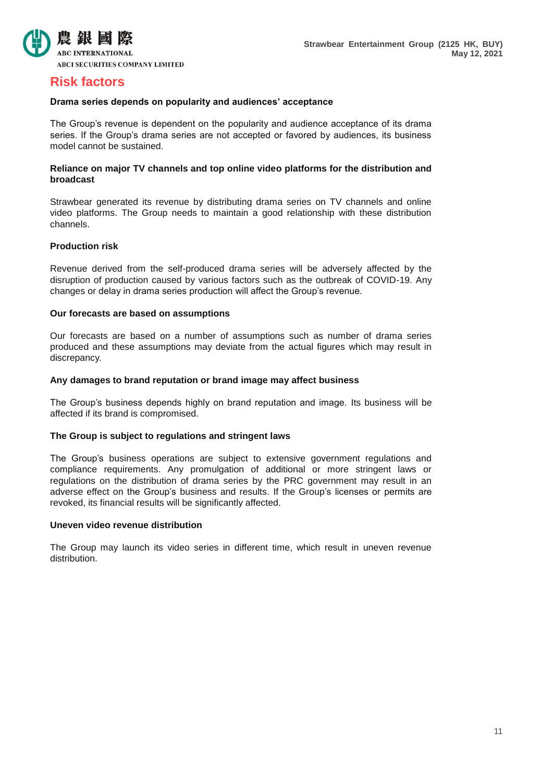

# **Risk factors**

# **Drama series depends on popularity and audiences' acceptance**

The Group's revenue is dependent on the popularity and audience acceptance of its drama series. If the Group's drama series are not accepted or favored by audiences, its business model cannot be sustained.

# **Reliance on major TV channels and top online video platforms for the distribution and broadcast**

Strawbear generated its revenue by distributing drama series on TV channels and online video platforms. The Group needs to maintain a good relationship with these distribution channels.

# **Production risk**

Revenue derived from the self-produced drama series will be adversely affected by the disruption of production caused by various factors such as the outbreak of COVID-19. Any changes or delay in drama series production will affect the Group's revenue.

### **Our forecasts are based on assumptions**

Our forecasts are based on a number of assumptions such as number of drama series produced and these assumptions may deviate from the actual figures which may result in discrepancy.

# **Any damages to brand reputation or brand image may affect business**

The Group's business depends highly on brand reputation and image. Its business will be affected if its brand is compromised.

# **The Group is subject to regulations and stringent laws**

The Group's business operations are subject to extensive government regulations and compliance requirements. Any promulgation of additional or more stringent laws or regulations on the distribution of drama series by the PRC government may result in an adverse effect on the Group's business and results. If the Group's licenses or permits are revoked, its financial results will be significantly affected.

### **Uneven video revenue distribution**

The Group may launch its video series in different time, which result in uneven revenue distribution.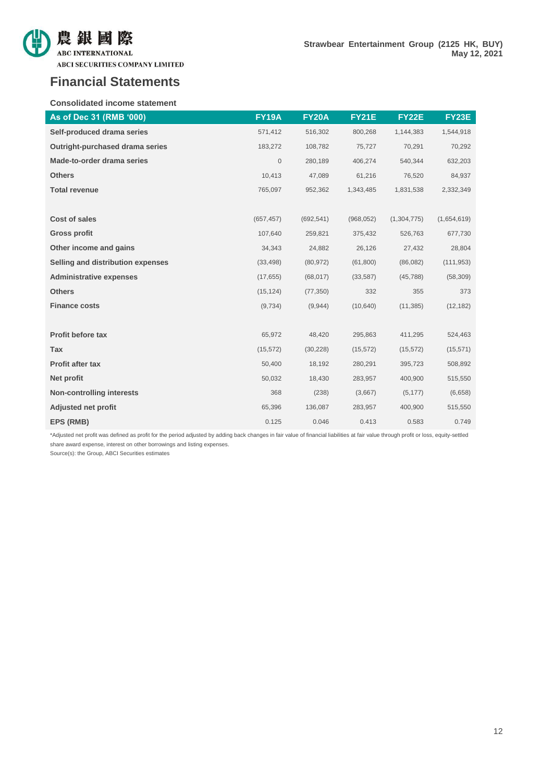

**ABCI SECURITIES COMPANY LIMITED** 

#### **Consolidated income statement**

| As of Dec 31 (RMB '000)           | <b>FY19A</b> | <b>FY20A</b> | <b>FY21E</b> | <b>FY22E</b> | <b>FY23E</b> |
|-----------------------------------|--------------|--------------|--------------|--------------|--------------|
| Self-produced drama series        | 571,412      | 516,302      | 800,268      | 1,144,383    | 1,544,918    |
| Outright-purchased drama series   | 183,272      | 108,782      | 75,727       | 70,291       | 70,292       |
| Made-to-order drama series        | $\mathbf 0$  | 280,189      | 406,274      | 540,344      | 632,203      |
| <b>Others</b>                     | 10,413       | 47,089       | 61,216       | 76,520       | 84,937       |
| <b>Total revenue</b>              | 765,097      | 952,362      | 1,343,485    | 1,831,538    | 2,332,349    |
|                                   |              |              |              |              |              |
| <b>Cost of sales</b>              | (657, 457)   | (692, 541)   | (968, 052)   | (1,304,775)  | (1,654,619)  |
| <b>Gross profit</b>               | 107,640      | 259,821      | 375,432      | 526,763      | 677,730      |
| Other income and gains            | 34,343       | 24,882       | 26,126       | 27,432       | 28,804       |
| Selling and distribution expenses | (33, 498)    | (80, 972)    | (61, 800)    | (86,082)     | (111, 953)   |
| <b>Administrative expenses</b>    | (17, 655)    | (68, 017)    | (33, 587)    | (45, 788)    | (58, 309)    |
| <b>Others</b>                     | (15, 124)    | (77, 350)    | 332          | 355          | 373          |
| <b>Finance costs</b>              | (9,734)      | (9,944)      | (10, 640)    | (11, 385)    | (12, 182)    |
|                                   |              |              |              |              |              |
| Profit before tax                 | 65,972       | 48,420       | 295,863      | 411,295      | 524,463      |
| Tax                               | (15, 572)    | (30, 228)    | (15, 572)    | (15, 572)    | (15, 571)    |
| <b>Profit after tax</b>           | 50,400       | 18,192       | 280,291      | 395,723      | 508,892      |
| Net profit                        | 50,032       | 18,430       | 283,957      | 400,900      | 515,550      |
| <b>Non-controlling interests</b>  | 368          | (238)        | (3,667)      | (5, 177)     | (6,658)      |
| Adjusted net profit               | 65,396       | 136,087      | 283,957      | 400,900      | 515,550      |
| EPS (RMB)                         | 0.125        | 0.046        | 0.413        | 0.583        | 0.749        |

\*Adjusted net profit was defined as profit for the period adjusted by adding back changes in fair value of financial liabilities at fair value through profit or loss, equity-settled share award expense, interest on other borrowings and listing expenses.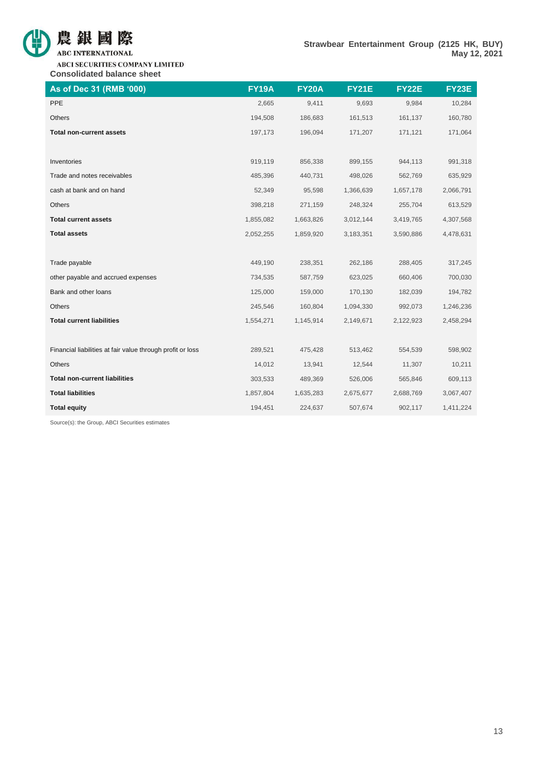

ABCI SECURITIES COMPANY LIMITED **Consolidated balance sheet**

| As of Dec 31 (RMB '000)                                    | <b>FY19A</b> | <b>FY20A</b> | <b>FY21E</b> | <b>FY22E</b> | <b>FY23E</b> |
|------------------------------------------------------------|--------------|--------------|--------------|--------------|--------------|
| PPE                                                        | 2,665        | 9,411        | 9,693        | 9,984        | 10,284       |
| Others                                                     | 194,508      | 186,683      | 161,513      | 161,137      | 160,780      |
| <b>Total non-current assets</b>                            | 197,173      | 196,094      | 171,207      | 171,121      | 171,064      |
|                                                            |              |              |              |              |              |
| Inventories                                                | 919,119      | 856,338      | 899,155      | 944,113      | 991,318      |
| Trade and notes receivables                                | 485,396      | 440,731      | 498,026      | 562,769      | 635,929      |
| cash at bank and on hand                                   | 52,349       | 95,598       | 1,366,639    | 1,657,178    | 2,066,791    |
| Others                                                     | 398,218      | 271,159      | 248,324      | 255,704      | 613,529      |
| <b>Total current assets</b>                                | 1,855,082    | 1,663,826    | 3,012,144    | 3,419,765    | 4,307,568    |
| <b>Total assets</b>                                        | 2,052,255    | 1,859,920    | 3,183,351    | 3,590,886    | 4,478,631    |
|                                                            |              |              |              |              |              |
| Trade payable                                              | 449,190      | 238,351      | 262,186      | 288,405      | 317,245      |
| other payable and accrued expenses                         | 734,535      | 587,759      | 623,025      | 660,406      | 700,030      |
| Bank and other loans                                       | 125,000      | 159,000      | 170,130      | 182,039      | 194,782      |
| <b>Others</b>                                              | 245,546      | 160,804      | 1,094,330    | 992,073      | 1,246,236    |
| <b>Total current liabilities</b>                           | 1,554,271    | 1,145,914    | 2,149,671    | 2,122,923    | 2,458,294    |
|                                                            |              |              |              |              |              |
| Financial liabilities at fair value through profit or loss | 289,521      | 475,428      | 513,462      | 554,539      | 598,902      |
| Others                                                     | 14,012       | 13,941       | 12,544       | 11,307       | 10,211       |
| <b>Total non-current liabilities</b>                       | 303,533      | 489,369      | 526,006      | 565,846      | 609,113      |
| <b>Total liabilities</b>                                   | 1,857,804    | 1,635,283    | 2,675,677    | 2,688,769    | 3,067,407    |
| <b>Total equity</b>                                        | 194,451      | 224,637      | 507,674      | 902,117      | 1,411,224    |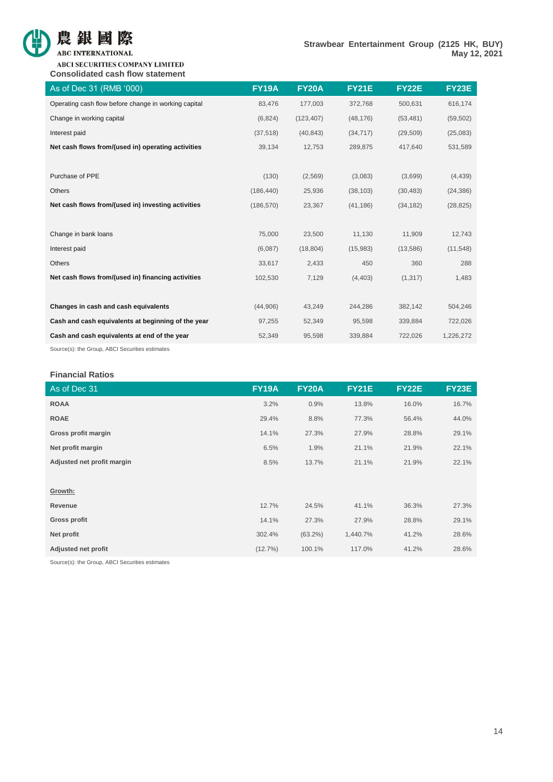

**ABCI SECURITIES COMPANY LIMITED Consolidated cash flow statement**

| As of Dec 31 (RMB '000)                              | <b>FY19A</b> | <b>FY20A</b> | <b>FY21E</b> | <b>FY22E</b> | <b>FY23E</b> |
|------------------------------------------------------|--------------|--------------|--------------|--------------|--------------|
| Operating cash flow before change in working capital | 83,476       | 177,003      | 372,768      | 500,631      | 616,174      |
| Change in working capital                            | (6,824)      | (123, 407)   | (48, 176)    | (53, 481)    | (59, 502)    |
| Interest paid                                        | (37, 518)    | (40, 843)    | (34, 717)    | (29, 509)    | (25,083)     |
| Net cash flows from/(used in) operating activities   | 39,134       | 12,753       | 289,875      | 417,640      | 531,589      |
|                                                      |              |              |              |              |              |
| Purchase of PPE                                      | (130)        | (2, 569)     | (3,083)      | (3,699)      | (4, 439)     |
| <b>Others</b>                                        | (186, 440)   | 25,936       | (38, 103)    | (30, 483)    | (24, 386)    |
| Net cash flows from/(used in) investing activities   | (186, 570)   | 23,367       | (41, 186)    | (34, 182)    | (28, 825)    |
|                                                      |              |              |              |              |              |
| Change in bank loans                                 | 75,000       | 23,500       | 11,130       | 11,909       | 12,743       |
| Interest paid                                        | (6,087)      | (18, 804)    | (15,983)     | (13,586)     | (11, 548)    |
| Others                                               | 33,617       | 2,433        | 450          | 360          | 288          |
| Net cash flows from/(used in) financing activities   | 102,530      | 7,129        | (4, 403)     | (1, 317)     | 1,483        |
|                                                      |              |              |              |              |              |
| Changes in cash and cash equivalents                 | (44,906)     | 43,249       | 244,286      | 382,142      | 504,246      |
| Cash and cash equivalents at beginning of the year   | 97,255       | 52,349       | 95,598       | 339,884      | 722,026      |
| Cash and cash equivalents at end of the year         | 52,349       | 95,598       | 339,884      | 722,026      | 1,226,272    |
|                                                      |              |              |              |              |              |

Source(s): the Group, ABCI Securities estimates

# **Financial Ratios**

| As of Dec 31               | <b>FY19A</b> | <b>FY20A</b> | <b>FY21E</b> | <b>FY22E</b> | <b>FY23E</b> |
|----------------------------|--------------|--------------|--------------|--------------|--------------|
| <b>ROAA</b>                | 3.2%         | 0.9%         | 13.8%        | 16.0%        | 16.7%        |
| <b>ROAE</b>                | 29.4%        | 8.8%         | 77.3%        | 56.4%        | 44.0%        |
| Gross profit margin        | 14.1%        | 27.3%        | 27.9%        | 28.8%        | 29.1%        |
| Net profit margin          | 6.5%         | 1.9%         | 21.1%        | 21.9%        | 22.1%        |
| Adjusted net profit margin | 8.5%         | 13.7%        | 21.1%        | 21.9%        | 22.1%        |
|                            |              |              |              |              |              |
| Growth:                    |              |              |              |              |              |
| Revenue                    | 12.7%        | 24.5%        | 41.1%        | 36.3%        | 27.3%        |
| <b>Gross profit</b>        | 14.1%        | 27.3%        | 27.9%        | 28.8%        | 29.1%        |
| Net profit                 | 302.4%       | $(63.2\%)$   | 1,440.7%     | 41.2%        | 28.6%        |
| <b>Adjusted net profit</b> | (12.7%)      | 100.1%       | 117.0%       | 41.2%        | 28.6%        |